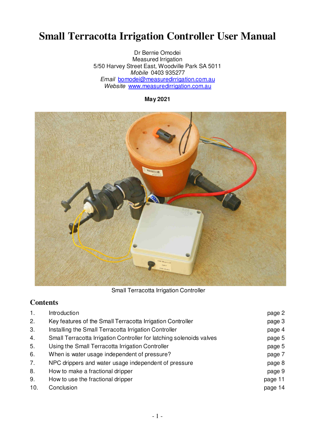# **Small Terracotta Irrigation Controller User Manual**

Dr Bernie Omodei Measured Irrigation 5/50 Harvey Street East, Woodville Park SA 5011 Mobile 0403 935277 Email bomodei@measuredirrigation.com.au Website www.measuredirrigation.com.au

**May 2021** 



Small Terracotta Irrigation Controller

## **Contents**

| 1.  | Introduction                                                         | page 2  |
|-----|----------------------------------------------------------------------|---------|
| 2.  | Key features of the Small Terracotta Irrigation Controller           | page 3  |
| 3.  | Installing the Small Terracotta Irrigation Controller                | page 4  |
| 4.  | Small Terracotta Irrigation Controller for latching solenoids valves | page 5  |
| 5.  | Using the Small Terracotta Irrigation Controller                     | page 5  |
| 6.  | When is water usage independent of pressure?                         | page 7  |
| 7.  | NPC drippers and water usage independent of pressure                 | page 8  |
| 8.  | How to make a fractional dripper                                     | page 9  |
| 9.  | How to use the fractional dripper                                    | page 11 |
| 10. | Conclusion                                                           | page 14 |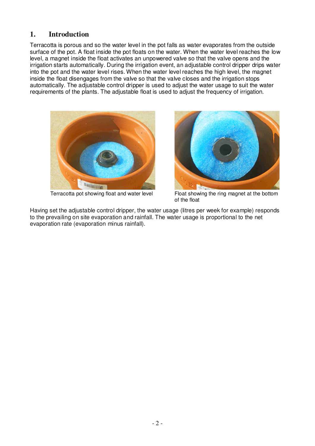## **1. Introduction**

Terracotta is porous and so the water level in the pot falls as water evaporates from the outside surface of the pot. A float inside the pot floats on the water. When the water level reaches the low level, a magnet inside the float activates an unpowered valve so that the valve opens and the irrigation starts automatically. During the irrigation event, an adjustable control dripper drips water into the pot and the water level rises. When the water level reaches the high level, the magnet inside the float disengages from the valve so that the valve closes and the irrigation stops automatically. The adjustable control dripper is used to adjust the water usage to suit the water requirements of the plants. The adjustable float is used to adjust the frequency of irrigation.



Terracotta pot showing float and water level



Float showing the ring magnet at the bottom of the float

Having set the adjustable control dripper, the water usage (litres per week for example) responds to the prevailing on site evaporation and rainfall. The water usage is proportional to the net evaporation rate (evaporation minus rainfall).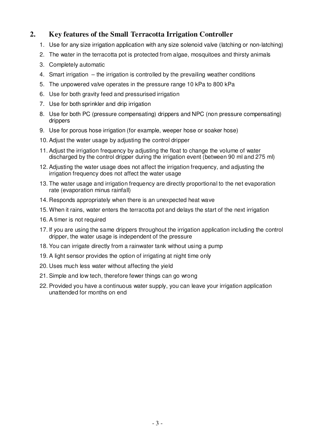## **2. Key features of the Small Terracotta Irrigation Controller**

- 1. Use for any size irrigation application with any size solenoid valve (latching or non-latching)
- 2. The water in the terracotta pot is protected from algae, mosquitoes and thirsty animals
- 3. Completely automatic
- 4. Smart irrigation the irrigation is controlled by the prevailing weather conditions
- 5. The unpowered valve operates in the pressure range 10 kPa to 800 kPa
- 6. Use for both gravity feed and pressurised irrigation
- 7. Use for both sprinkler and drip irrigation
- 8. Use for both PC (pressure compensating) drippers and NPC (non pressure compensating) drippers
- 9. Use for porous hose irrigation (for example, weeper hose or soaker hose)
- 10. Adjust the water usage by adjusting the control dripper
- 11. Adjust the irrigation frequency by adjusting the float to change the volume of water discharged by the control dripper during the irrigation event (between 90 ml and 275 ml)
- 12. Adjusting the water usage does not affect the irrigation frequency, and adjusting the irrigation frequency does not affect the water usage
- 13. The water usage and irrigation frequency are directly proportional to the net evaporation rate (evaporation minus rainfall)
- 14. Responds appropriately when there is an unexpected heat wave
- 15. When it rains, water enters the terracotta pot and delays the start of the next irrigation
- 16. A timer is not required
- 17. If you are using the same drippers throughout the irrigation application including the control dripper, the water usage is independent of the pressure
- 18. You can irrigate directly from a rainwater tank without using a pump
- 19. A light sensor provides the option of irrigating at night time only
- 20. Uses much less water without affecting the yield
- 21. Simple and low tech, therefore fewer things can go wrong
- 22. Provided you have a continuous water supply, you can leave your irrigation application unattended for months on end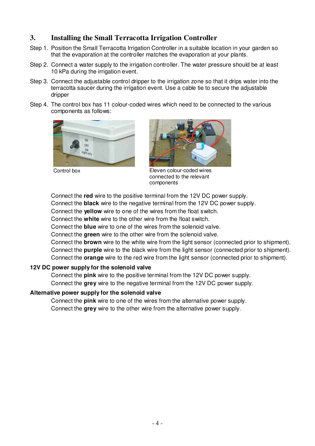## **3. Installing the Small Terracotta Irrigation Controller**

- Step 1. Position the Small Terracotta Irrigation Controller in a suitable location in your garden so that the evaporation at the controller matches the evaporation at your plants.
- Step 2. Connect a water supply to the irrigation controller. The water pressure should be at least 10 kPa during the irrigation event.
- Step 3. Connect the adjustable control dripper to the irrigation zone so that it drips water into the terracotta saucer during the irrigation event. Use a cable tie to secure the adjustable dripper
- Step 4. The control box has 11 colour-coded wires which need to be connected to the various components as follows:





Control box Eleven colour-coded wires connected to the relevant components

Connect the **red** wire to the positive terminal from the 12V DC power supply.

Connect the **black** wire to the negative terminal from the 12V DC power supply.

Connect the **yellow** wire to one of the wires from the float switch.

Connect the **white** wire to the other wire from the float switch.

Connect the **blue** wire to one of the wires from the solenoid valve.

Connect the **green** wire to the other wire from the solenoid valve.

Connect the **brown** wire to the white wire from the light sensor (connected prior to shipment). Connect the **purple** wire to the black wire from the light sensor (connected prior to shipment). Connect the **orange** wire to the red wire from the light sensor (connected prior to shipment).

#### **12V DC power supply for the solenoid valve**

Connect the **pink** wire to the positive terminal from the 12V DC power supply. Connect the **grey** wire to the negative terminal from the 12V DC power supply.

#### **Alternative power supply for the solenoid valve**

Connect the **pink** wire to one of the wires from the alternative power supply. Connect the **grey** wire to the other wire from the alternative power supply.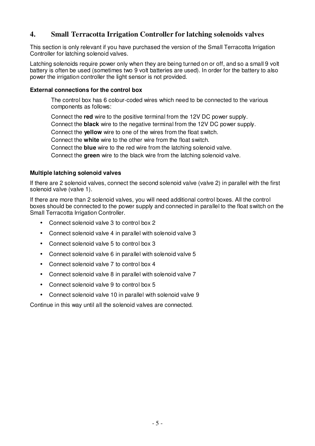## **4. Small Terracotta Irrigation Controller for latching solenoids valves**

This section is only relevant if you have purchased the version of the Small Terracotta Irrigation Controller for latching solenoid valves.

Latching solenoids require power only when they are being turned on or off, and so a small 9 volt battery is often be used (sometimes two 9 volt batteries are used). In order for the battery to also power the irrigation controller the light sensor is not provided.

#### **External connections for the control box**

The control box has 6 colour-coded wires which need to be connected to the various components as follows:

Connect the **red** wire to the positive terminal from the 12V DC power supply.

Connect the **black** wire to the negative terminal from the 12V DC power supply.

Connect the **yellow** wire to one of the wires from the float switch.

Connect the **white** wire to the other wire from the float switch.

Connect the **blue** wire to the red wire from the latching solenoid valve.

Connect the **green** wire to the black wire from the latching solenoid valve.

#### **Multiple latching solenoid valves**

If there are 2 solenoid valves, connect the second solenoid valve (valve 2) in parallel with the first solenoid valve (valve 1).

If there are more than 2 solenoid valves, you will need additional control boxes. All the control boxes should be connected to the power supply and connected in parallel to the float switch on the Small Terracotta Irrigation Controller.

- Connect solenoid valve 3 to control box 2
- Connect solenoid valve 4 in parallel with solenoid valve 3
- Connect solenoid valve 5 to control box 3
- Connect solenoid valve 6 in parallel with solenoid valve 5
- Connect solenoid valve 7 to control box 4
- Connect solenoid valve 8 in parallel with solenoid valve 7
- Connect solenoid valve 9 to control box 5
- Connect solenoid valve 10 in parallel with solenoid valve 9

Continue in this way until all the solenoid valves are connected.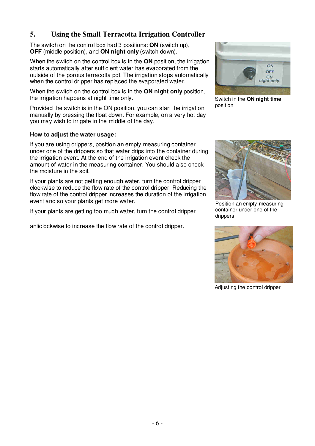## **5. Using the Small Terracotta Irrigation Controller**

The switch on the control box had 3 positions: **ON** (switch up), **OFF** (middle position), and **ON night only** (switch down).

When the switch on the control box is in the **ON** position, the irrigation starts automatically after sufficient water has evaporated from the outside of the porous terracotta pot. The irrigation stops automatically when the control dripper has replaced the evaporated water.

When the switch on the control box is in the **ON night only** position, the irrigation happens at night time only.

Provided the switch is in the ON position, you can start the irrigation manually by pressing the float down. For example, on a very hot day you may wish to irrigate in the middle of the day.

#### **How to adjust the water usage:**

If you are using drippers, position an empty measuring container under one of the drippers so that water drips into the container during the irrigation event. At the end of the irrigation event check the amount of water in the measuring container. You should also check the moisture in the soil.

If your plants are not getting enough water, turn the control dripper clockwise to reduce the flow rate of the control dripper. Reducing the flow rate of the control dripper increases the duration of the irrigation event and so your plants get more water.

If your plants are getting too much water, turn the control dripper

anticlockwise to increase the flow rate of the control dripper.



Switch in the **ON night time**  position



Position an empty measuring container under one of the drippers



Adjusting the control dripper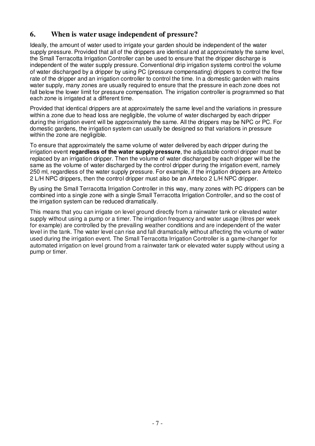## **6. When is water usage independent of pressure?**

Ideally, the amount of water used to irrigate your garden should be independent of the water supply pressure. Provided that all of the drippers are identical and at approximately the same level, the Small Terracotta Irrigation Controller can be used to ensure that the dripper discharge is independent of the water supply pressure. Conventional drip irrigation systems control the volume of water discharged by a dripper by using PC (pressure compensating) drippers to control the flow rate of the dripper and an irrigation controller to control the time. In a domestic garden with mains water supply, many zones are usually required to ensure that the pressure in each zone does not fall below the lower limit for pressure compensation. The irrigation controller is programmed so that each zone is irrigated at a different time.

Provided that identical drippers are at approximately the same level and the variations in pressure within a zone due to head loss are negligible, the volume of water discharged by each dripper during the irrigation event will be approximately the same. All the drippers may be NPC or PC. For domestic gardens, the irrigation system can usually be designed so that variations in pressure within the zone are negligible.

To ensure that approximately the same volume of water delivered by each dripper during the irrigation event **regardless of the water supply pressure**, the adjustable control dripper must be replaced by an irrigation dripper. Then the volume of water discharged by each dripper will be the same as the volume of water discharged by the control dripper during the irrigation event, namely 250 ml, regardless of the water supply pressure. For example, if the irrigation drippers are Antelco 2 L/H NPC drippers, then the control dripper must also be an Antelco 2 L/H NPC dripper.

By using the Small Terracotta Irrigation Controller in this way, many zones with PC drippers can be combined into a single zone with a single Small Terracotta Irrigation Controller, and so the cost of the irrigation system can be reduced dramatically.

This means that you can irrigate on level ground directly from a rainwater tank or elevated water supply without using a pump or a timer. The irrigation frequency and water usage (litres per week for example) are controlled by the prevailing weather conditions and are independent of the water level in the tank. The water level can rise and fall dramatically without affecting the volume of water used during the irrigation event. The Small Terracotta Irrigation Controller is a game-changer for automated irrigation on level ground from a rainwater tank or elevated water supply without using a pump or timer.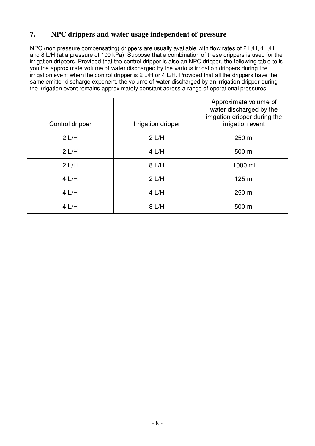# **7. NPC drippers and water usage independent of pressure**

NPC (non pressure compensating) drippers are usually available with flow rates of 2 L/H, 4 L/H and  $8$  L/H (at a pressure of 100 kPa). Suppose that a combination of these drippers is used for the irrigation drippers. Provided that the control dripper is also an NPC dripper, the following table tells you the approximate volume of water discharged by the various irrigation drippers during the irrigation event when the control dripper is 2 L/H or 4 L/H. Provided that all the drippers have the same emitter discharge exponent, the volume of water discharged by an irrigation dripper during the irrigation event remains approximately constant across a range of operational pressures.

| Control dripper | Irrigation dripper | Approximate volume of<br>water discharged by the<br>irrigation dripper during the<br>irrigation event |
|-----------------|--------------------|-------------------------------------------------------------------------------------------------------|
| 2 L/H           | 2 L/H              | 250 ml                                                                                                |
| 2 L/H           | 4 L/H              | 500 ml                                                                                                |
| 2 L/H           | 8 L/H              | 1000 ml                                                                                               |
| 4 L/H           | 2 L/H              | 125 ml                                                                                                |
| 4 L/H           | 4 L/H              | 250 ml                                                                                                |
| 4 L/H           | 8 L/H              | 500 ml                                                                                                |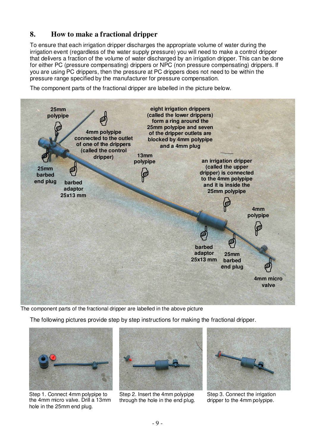# **8. How to make a fractional dripper**

To ensure that each irrigation dripper discharges the appropriate volume of water during the irrigation event (regardless of the water supply pressure) you will need to make a control dripper that delivers a fraction of the volume of water discharged by an irrigation dripper. This can be done for either PC (pressure compensating) drippers or NPC (non pressure compensating) drippers. If you are using PC drippers, then the pressure at PC drippers does not need to be within the pressure range specified by the manufacturer for pressure compensation.

The component parts of the fractional dripper are labelled in the picture below.



The component parts of the fractional dripper are labelled in the above picture

The following pictures provide step by step instructions for making the fractional dripper.



Step 1. Connect 4mm polypipe to the 4mm micro valve. Drill a 13mm hole in the 25mm end plug.



Step 2. Insert the 4mm polypipe through the hole in the end plug.



Step 3. Connect the irrigation dripper to the 4mm polypipe.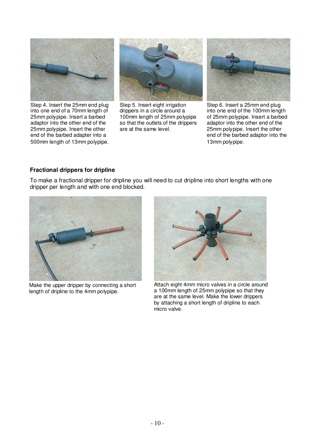

Step 4. Insert the 25mm end plug into one end of a 70mm length of 25mm polypipe. Insert a barbed adaptor into the other end of the 25mm polypipe. Insert the other end of the barbed adapter into a 500mm length of 13mm polypipe.



Step 5. Insert eight irrigation drippers in a circle around a 100mm length of 25mm polypipe so that the outlets of the drippers are at the same level.



Step 6. Insert a 25mm end plug into one end of the 100mm length of 25mm polypipe. Insert a barbed adaptor into the other end of the 25mm polypipe. Insert the other end of the barbed adaptor into the 13mm polypipe.

#### **Fractional drippers for dripline**

To make a fractional dripper for dripline you will need to cut dripline into short lengths with one dripper per length and with one end blocked.



Make the upper dripper by connecting a short length of dripline to the 4mm polypipe.



Attach eight 4mm micro valves in a circle around a 100mm length of 25mm polypipe so that they are at the same level. Make the lower drippers by attaching a short length of dripline to each micro valve.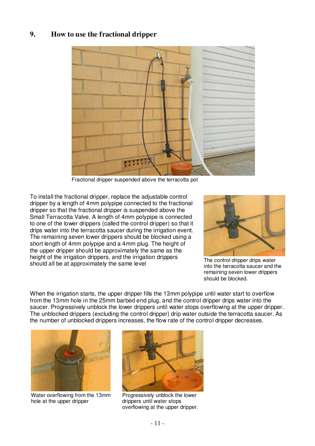## **9. How to use the fractional dripper**



Fractional dripper suspended above the terracotta pot

To install the fractional dripper, replace the adjustable control dripper by a length of 4mm polypipe connected to the fractional dripper so that the fractional dripper is suspended above the Small Terracotta Valve. A length of 4mm polypipe is connected to one of the lower drippers (called the control dripper) so that it drips water into the terracotta saucer during the irrigation event. The remaining seven lower drippers should be blocked using a short length of 4mm polypipe and a 4mm plug. The height of the upper dripper should be approximately the same as the height of the irrigation drippers, and the irrigation drippers should all be at approximately the same level



The control dripper drips water into the terracotta saucer and the remaining seven lower drippers should be blocked.

When the irrigation starts, the upper dripper fills the 13mm polypipe until water start to overflow from the 13mm hole in the 25mm barbed end plug, and the control dripper drips water into the saucer. Progressively unblock the lower drippers until water stops overflowing at the upper dripper. The unblocked drippers (excluding the control dripper) drip water outside the terracotta saucer. As the number of unblocked drippers increases, the flow rate of the control dripper decreases.



Water overflowing from the 13mm hole at the upper dripper



Progressively unblock the lower drippers until water stops overflowing at the upper dripper.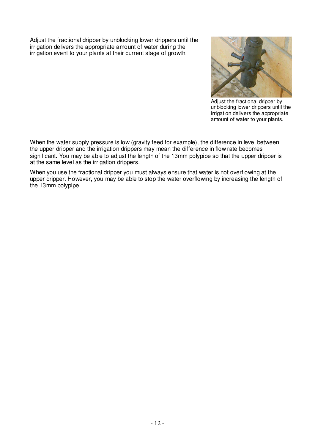Adjust the fractional dripper by unblocking lower drippers until the irrigation delivers the appropriate amount of water during the irrigation event to your plants at their current stage of growth.



Adjust the fractional dripper by unblocking lower drippers until the irrigation delivers the appropriate amount of water to your plants.

When the water supply pressure is low (gravity feed for example), the difference in level between the upper dripper and the irrigation drippers may mean the difference in flow rate becomes significant. You may be able to adjust the length of the 13mm polypipe so that the upper dripper is at the same level as the irrigation drippers.

When you use the fractional dripper you must always ensure that water is not overflowing at the upper dripper. However, you may be able to stop the water overflowing by increasing the length of the 13mm polypipe.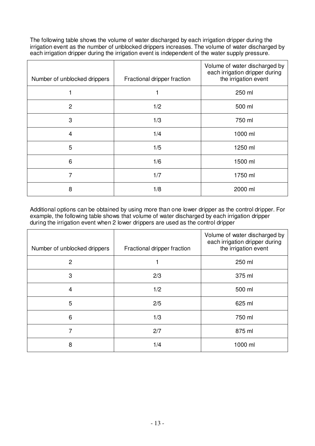The following table shows the volume of water discharged by each irrigation dripper during the irrigation event as the number of unblocked drippers increases. The volume of water discharged by each irrigation dripper during the irrigation event is independent of the water supply pressure.

| Number of unblocked drippers | Fractional dripper fraction | Volume of water discharged by<br>each irrigation dripper during<br>the irrigation event |
|------------------------------|-----------------------------|-----------------------------------------------------------------------------------------|
| 1                            |                             | 250 ml                                                                                  |
| $\overline{c}$               | 1/2                         | 500 ml                                                                                  |
| 3                            | 1/3                         | 750 ml                                                                                  |
| 4                            | 1/4                         | 1000 ml                                                                                 |
| 5                            | 1/5                         | 1250 ml                                                                                 |
| 6                            | 1/6                         | 1500 ml                                                                                 |
| 7                            | 1/7                         | 1750 ml                                                                                 |
| 8                            | 1/8                         | 2000 ml                                                                                 |

Additional options can be obtained by using more than one lower dripper as the control dripper. For example, the following table shows that volume of water discharged by each irrigation dripper during the irrigation event when 2 lower drippers are used as the control dripper

| Number of unblocked drippers | Fractional dripper fraction | Volume of water discharged by<br>each irrigation dripper during<br>the irrigation event |
|------------------------------|-----------------------------|-----------------------------------------------------------------------------------------|
| $\mathbf{2}$                 |                             | 250 ml                                                                                  |
| 3                            | 2/3                         | 375 ml                                                                                  |
| 4                            | 1/2                         | 500 ml                                                                                  |
| 5                            | 2/5                         | 625 ml                                                                                  |
| 6                            | 1/3                         | 750 ml                                                                                  |
| 7                            | 2/7                         | 875 ml                                                                                  |
| 8                            | 1/4                         | 1000 ml                                                                                 |